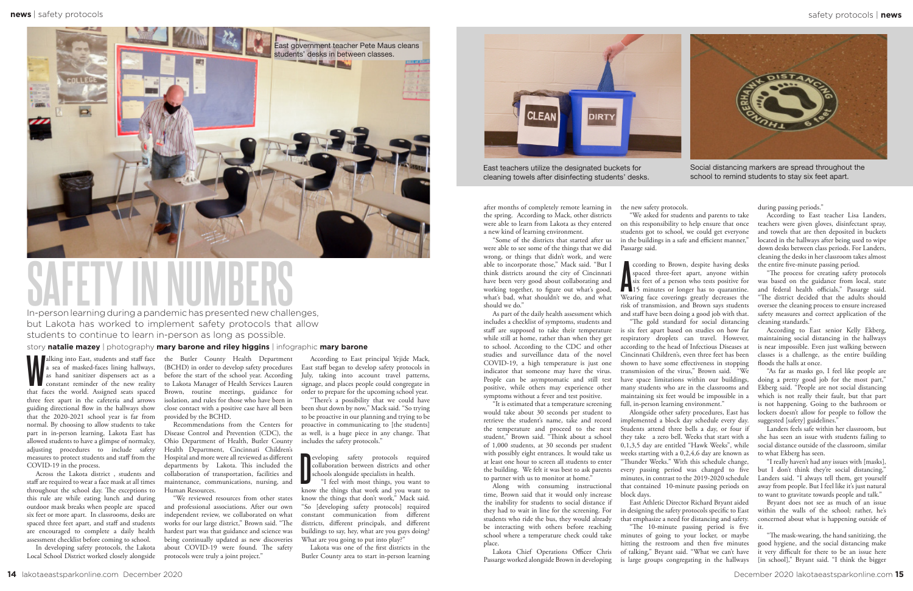Social distancing markers are spread throughout the school to remind students to stay six feet apart.



**W** alking into East, students and staff face a sea of masked-faces lining hallways, constant reminder of the new reality that faces the world. Assigned seats spaced three feet apart in the cafeteria and arrows guiding directional flow in the hallways show that the 2020-2021 school year is far from normal. By choosing to allow students to take part in in-person learning, Lakota East has allowed students to have a glimpse of normalcy, adjusting procedures to include safety measures to protect students and staff from the COVID-19 in the process.

eveloping safety protocols required collaboration between districts and other schools alongside specialists in health. "I feel with most things, you want to collaboration between districts and other schools alongside specialists in health.

"I feel with most things, you want to know the things that work and you want to know the things that don't work," Mack said. "So [developing safety protocols] required constant communication from different districts, different principals, and different buildings to say, hey, what are you guys doing? What are you going to put into play?"

Across the Lakota district , students and staff are required to wear a face mask at all times throughout the school day. The exceptions to this rule are while eating lunch and during outdoor mask breaks when people are spaced six feet or more apart. In classrooms, desks are spaced three feet apart, and staff and students are encouraged to complete a daily health assessment checklist before coming to school.

In developing safety protocols, the Lakota Local School District worked closely alongside

According to East principal Yejide Mack, East staff began to develop safety protocols in July, taking into account travel patterns, signage, and places people could congregate in order to prepare for the upcoming school year.

as hand sanitizer dispensers act as a before the start of the school year. According the Butler County Health Department (BCHD) in order to develop safety procedures to Lakota Manager of Health Services Lauren Brown, routine meetings, guidance for isolation, and rules for those who have been in close contact with a positive case have all been provided by the BCHD.

"There's a possibility that we could have been shut down by now," Mack said. "So trying to be proactive in our planning and trying to be proactive in communicating to [the students] as well, is a huge piece in any change. That includes the safety protocols."

"As far as masks go, I feel like people are doing a pretty good job for the most part," Ekberg said. "People are not social distancing which is not really their fault, but that part is not happening. Going to the bathroom or lockers doesn't allow for people to follow the suggested [safety] guidelines."

Lakota was one of the first districts in the Butler County area to start in-person learning



East teachers utilize the designated buckets for cleaning towels after disinfecting students' desks.

> "The mask-wearing, the hand sanitizing, the good hygiene, and the social distancing make it very difficult for there to be an issue here [in school]," Bryant said. "I think the bigger

Recommendations from the Centers for Disease Control and Prevention (CDC), the Ohio Department of Health, Butler County Health Department, Cincinnati Children's Hospital and more were all reviewed as different departments by Lakota. This included the collaboration of transportation, facilities and maintenance, communications, nursing, and Human Resources.

coording to Brown, despite having desks<br>spaced three-feet apart, anyone within<br>six feet of a person who tests positive for<br>15 minutes or longer has to quarantine. Wearing face coverings greatly decreases the risk of transmission, and Brown says students and staff have been doing a good job with that. is six feet apart based on studies on how far respiratory droplets can travel. However, according to the head of Infectious Diseases at Cincinnati Children's, even three feet has been shown to have some effectiveness in stopping transmission of the virus," Brown said. "We have space limitations within our buildings, many students who are in the classrooms and maintaining six feet would be impossible in a full, in-person learning environment."

"We reviewed resources from other states and professional associations. After our own independent review, we collaborated on what works for our large district," Brown said. "The hardest part was that guidance and science was being continually updated as new discoveries about COVID-19 were found. The safety protocols were truly a joint project."

## **SAFETY IN NUMBERS**

In-person learning during a pandemic has presented new challenges, but Lakota has worked to implement safety protocols that allow students to continue to learn in-person as long as possible.

> "The 10-minute passing period is five it. East Athletic Director Richard Bryant aided in designing the safety protocols specific to East that emphasize a need for distancing and safety. minutes of going to your locker, or maybe hitting the restroom and then five minutes of talking," Bryant said. "What we can't have is large groups congregating in the hallways

## story **natalie mazey** | photography **mary barone and riley higgins** | infographic **mary barone**

during passing periods."

According to East teacher Lisa Landers, teachers were given gloves, disinfectant spray, and towels that are then deposited in buckets located in the hallways after being used to wipe down desks between class periods. For Landers, cleaning the desks in her classroom takes almost the entire five-minute passing period.

"The process for creating safety protocols was based on the guidance from local, state and federal health officials," Passarge said. "The district decided that the adults should oversee the cleaning process to ensure increased safety measures and correct application of the cleaning standards."

According to East senior Kelly Ekberg, maintaining social distancing in the hallways is near impossible. Even just walking between classes is a challenge, as the entire building floods the halls at once.

Landers feels safe within her classroom, but she has seen an issue with students failing to social distance outside of the classroom, similar to what Ekberg has seen.

"I really haven't had any issues with [masks], but I don't think they're social distancing," Landers said. "I always tell them, get yourself away from people. But I feel like it's just natural to want to gravitate towards people and talk."

Bryant does not see as much of an issue within the walls of the school; rather, he's concerned about what is happening outside of

the new safety protocols. Passarge said.

"We asked for students and parents to take on this responsibility to help ensure that once students got to school, we could get everyone in the buildings in a safe and efficient manner,"

ccording to Brown, despite having desks spaced three-feet apart, anyone within six feet of a person who tests positive for "The gold standard for social distancing

Alongside other safety procedures, East has implemented a block day schedule every day. Students attend three bells a day, or four if they take a zero bell. Weeks that start with a 0,1,3,5 day are entitled "Hawk Weeks", while weeks starting with a 0,2,4,6 day are known as "Thunder Weeks." With this schedule change, every passing period was changed to five minutes, in contrast to the 2019-2020 schedule that contained 10-minute passing periods on block days.

after months of completely remote learning in the spring. According to Mack, other districts were able to learn from Lakota as they entered a new kind of learning environment.

"Some of the districts that started after us were able to see some of the things that we did wrong, or things that didn't work, and were able to incorporate those," Mack said. "But I think districts around the city of Cincinnati have been very good about collaborating and working together, to figure out what's good, what's bad, what shouldn't we do, and what should we do."

As part of the daily health assessment which includes a checklist of symptoms, students and staff are supposed to take their temperature while still at home, rather than when they get to school. According to the CDC and other studies and surveillance data of the novel COVID-19, a high temperature is just one indicator that someone may have the virus. People can be asymptomatic and still test positive, while others may experience other symptoms without a fever and test positive.

"It is estimated that a temperature screening would take about 30 seconds per student to retrieve the student's name, take and record the temperature and proceed to the next student," Brown said. "Think about a school of 1,000 students, at 30 seconds per student with possibly eight entrances. It would take us at least one hour to screen all students to enter the building. We felt it was best to ask parents to partner with us to monitor at home."

Along with consuming instructional time, Brown said that it would only increase the inability for students to social distance if they had to wait in line for the screening. For students who ride the bus, they would already be interacting with others before reaching school where a temperature check could take place.

Lakota Chief Operations Officer Chris Passarge worked alongside Brown in developing